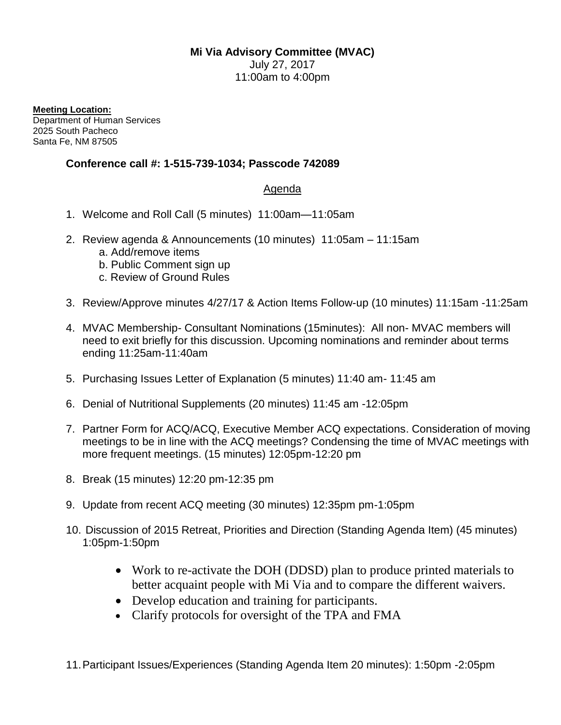## **Mi Via Advisory Committee (MVAC)**

July 27, 2017 11:00am to 4:00pm

**Meeting Location:**

Department of Human Services 2025 South Pacheco Santa Fe, NM 87505

## **Conference call #: 1-515-739-1034; Passcode 742089**

## Agenda

- 1. Welcome and Roll Call (5 minutes) 11:00am—11:05am
- 2. Review agenda & Announcements (10 minutes) 11:05am 11:15am
	- a. Add/remove items
	- b. Public Comment sign up
	- c. Review of Ground Rules
- 3. Review/Approve minutes 4/27/17 & Action Items Follow-up (10 minutes) 11:15am -11:25am
- 4. MVAC Membership- Consultant Nominations (15minutes): All non- MVAC members will need to exit briefly for this discussion. Upcoming nominations and reminder about terms ending 11:25am-11:40am
- 5. Purchasing Issues Letter of Explanation (5 minutes) 11:40 am- 11:45 am
- 6. Denial of Nutritional Supplements (20 minutes) 11:45 am -12:05pm
- 7. Partner Form for ACQ/ACQ, Executive Member ACQ expectations. Consideration of moving meetings to be in line with the ACQ meetings? Condensing the time of MVAC meetings with more frequent meetings. (15 minutes) 12:05pm-12:20 pm
- 8. Break (15 minutes) 12:20 pm-12:35 pm
- 9. Update from recent ACQ meeting (30 minutes) 12:35pm pm-1:05pm
- 10. Discussion of 2015 Retreat, Priorities and Direction (Standing Agenda Item) (45 minutes) 1:05pm-1:50pm
	- Work to re-activate the DOH (DDSD) plan to produce printed materials to better acquaint people with Mi Via and to compare the different waivers.
	- Develop education and training for participants.
	- Clarify protocols for oversight of the TPA and FMA
- 11.Participant Issues/Experiences (Standing Agenda Item 20 minutes): 1:50pm -2:05pm